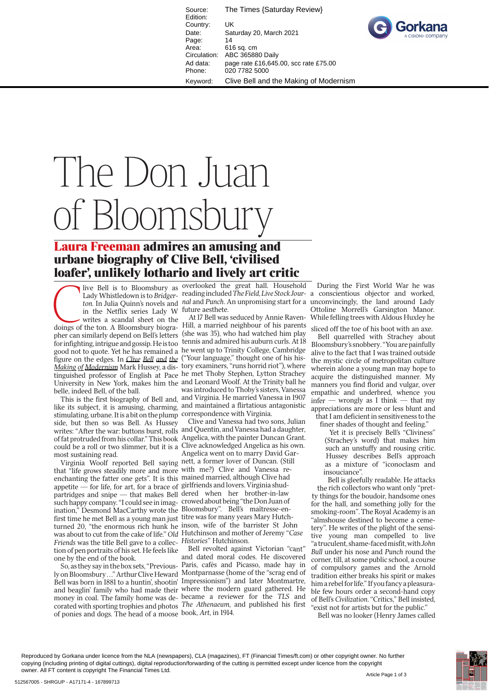Source: The Times {Saturday Review} Edition: Country: UK Date: Saturday 20, March 2021 Page: 14<br>Area: 61 616 sq. cm Circulation: ABC 365880 Daily Ad data: page rate £16,645.00, scc rate £75.00 Phone: 020 7782 5000 Keyword: Clive Bell and the Making of Modernism



## The Don Juan of Bloomsbury

## **Laura Freeman admires an amusing and urbane biography of Clive Bell, 'civilised**

**loafer', unlikely lothario and lively art critic**<br>
live Bell is to Bloomsbury as overlooked the great hall. Househo<br>
Lady Whistledown is to Bridger- reading included The Field, Live Stock Jou<br>
ton. In Julia Quinn's novels in the Netflix series Lady W future aesthete. writes a scandal sheet on the doings of the ton. A Bloomsbury biographer can similarly depend on Bell's letters for infighting, intrigue and gossip. He is too good not to quote. Yet he has remained a he went up to Trinity College, Cambridge figure on the edges. In *Clive Bell and the Making of Modernism* Mark Hussey, a dis-tory examiners, "runs horrid riot"), where tinguished professor of English at Pace he met Thoby Stephen, Lytton Strachey University in New York, makes him the and Leonard Woolf. At the Trinity ball he belle, indeed Bell, of the ball.

like its subject, it is amusing, charming, and maintained a flirtatious antagonistic stimulating, urbane. It is a bit on the plump correspondence with Virginia. side, but then so was Bell. As Hussey writes: "After the war: buttons burst, rolls and Quentin, and Vanessa had a daughter, could be a roll or two slimmer, but it is a most sustaining read.

Virginia Woolf reported Bell saying nett, a former lover of Duncan. (Still that "life grows steadily more and more with me?) Clive and Vanessa reenchanting the fatter one gets". It is this mained married, although Clive had appetite — for life, for art, for a brace of girlfriends and lovers. Virginia shudpartridges and snipe — that makes Bell dered when her brother-in-law such happy company. "I could see in imag-crowed about being "the Don Juan of ination," Desmond MacCarthy wrote the Bloomsbury". Bell's maîtresse-enfirst time he met Bell as a young man just titre was for many years Mary Hutchturned 20, "the enormous rich hunk he inson, wife of the barrister St John nwas about to cut from the cake of life." *Old* Hutchinson and mother of Jeremy "*Case aseFriends* was the title Bell gave to a collec-*Histories*" Hutchinson. tion of pen portraits of his set. He feels like one by the end of the book.

So, as they say in the box sets, "Previously on Bloomsbury . . ." Arthur Clive Heward Montparnasse (home of the "scrag end of Bell was born in 1881 to a huntin', shootin' Impressionism") and later Montmartre, and beaglin' family who had made their where the modern guard gathered. He money in coal. The family home was de-became a reviewer for the *TLS* and corated with sporting trophies and photos *The Athenaeum*, and published his first of ponies and dogs. The head of a moose book, *Art*, in 1914.

live Bell is to Bloomsbury as overlooked the great hall. Household Lady Whistledown is to *Bridger-*reading included *The Field*, *Live Stock Jour-*a conscientious objector and worked, ton. In Julia Quinn's novels and *nal* and *Punch*. An unpromising start for a unconvincingly, the land around Lady

This is the first biography of Bell and, and Virginia. He married Vanessa in 1907 At 17 Bell was seduced by Annie Raven-Hill, a married neighbour of his parents (she was 35), who had watched him play tennis and admired his auburn curls. At 18 ("Your language," thought one of his hiswas introduced to Thoby's sisters, Vanessa

of fat protruded from his collar." This book Angelica, with the painter Duncan Grant.<br>could be a roll or two slimmer, but it is a Clive acknowledged Angelica as his own.<br>Angelica went on to marry David Gar-Clive and Vanessa had two sons, Julian Clive acknowledged Angelica as his own. Angelica went on to marry David Gar-

Bell revolted against Victorian "cant" and dated moral codes. He discovered Paris, cafés and Picasso, made hay in

Ottoline Morrell's Garsington Manor. While felling trees with Aldous Huxley he

And During the First World War he was<br>
bour-<br>
a conscientious objector and worked,<br>
for a unconvincingly, the land around Lady<br>
Ottoline Morrell's Garsington Manor.<br>
Wen-While felling trees with Aldous Huxley he<br>
play side sliced off the toe of his boot with an axe. Bell quarrelled with Strachey about Bloomsbury's snobbery. "You are painfully alive to the fact that I was trained outside the mystic circle of metropolitan culture wherein alone a young man may hope to acquire the distinguished manner. My manners you find florid and vulgar, over empathic and underbred, whence you infer — wrongly as I think — that my appreciations are more or less blunt and appre that I am deficient in sensitiveness to the finer shades of thought and feeling." fin

Yet it is precisely Bell's "Cliviness" (Strachey's word) that makes him (S such an unstuffy and rousing critic. Hussey describes Bell's approach as a mixture of "iconoclasm and insouciance". in H a

Bell is gleefully readable. He attacks B the rich collectors who want only "pret ty things for the boudoir, handsome ones for the hall, and something jolly for the smoking-room". The Royal Academy is an smoki "almshouse destined to become a ceme-"almsh tery". He writes of the plight of the sensitive young man compelled to live "a truculent, shame-faced misfit, with *John Bull* under his nose and *Punch* round the corner, till, at some public school, a course of compulsory games and the Arnold tradition either breaks his spirit or makes him a rebel for life." If you fancy a pleasurable few hours order a second-hand copy of Bell's *Civilization*. "Critics," Bell insisted, "exist not for artists but for the public."

Bell was no looker (Henry James called

Reproduced by Gorkana under licence from the NLA (newspapers), CLA (magazines), FT (Financial Times/ft.com) or other copyright owner. No further copying (including printing of digital cuttings), digital reproduction/forwarding of the cutting is permitted except under licence from the copyright owner. All FT content is copyright The Financial Times Ltd.

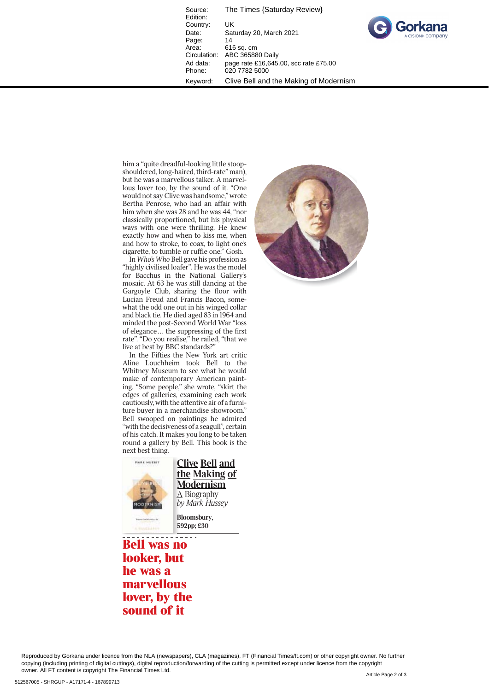Source: The Times {Saturday Review} Edition: Country: UK<br>Date: Sat Saturday 20, March 2021 Page: 14<br>Area: 61 Area: 616 sq. cm<br>Circulation: ABC 36588 ABC 365880 Daily Ad data: page rate £16,645.00, scc rate £75.00 Phone: 020 7782 5000 Keyword: Clive Bell and the Making of Modernism



him a "quite dreadful-looking little stoopshouldered, long-haired, third-rate" man), but he was a marvellous talker. A marvellous lover too, by the sound of it. "One would not say Clive was handsome," wrote Bertha Penrose, who had an affair with him when she was 28 and he was 44, "nor classically proportioned, but his physical ways with one were thrilling. He knew exactly how and when to kiss me, when and how to stroke, to coax, to light one's cigarette, to tumble or ruffle one." Gosh.

In *Who's Who* Bell gave his profession as "highly civilised loafer". He was the model for Bacchus in the National Gallery's mosaic. At 63 he was still dancing at the Gargoyle Club, sharing the floor with Lucian Freud and Francis Bacon, somewhat the odd one out in his winged collar and black tie. He died aged 83 in 1964 and minded the post-Second World War "loss of elegance... the suppressing of the first rate". "Do you realise," he railed, "that we live at best by BBC standards?"

In the Fifties the New York art critic Aline Louchheim took Bell to the Whitney Museum to see what he would make of contemporary American painting. "Some people," she wrote, "skirt the edges of galleries, examining each work cautiously, with the attentive air of a furniture buyer in a merchandise showroom." Bell swooped on paintings he admired "with the decisiveness of a seagull", certain of his catch. It makes you long to be taken round a gallery by Bell. This book is the next best thing.



**Clive Bell and the Making of Modernism**<br>A Biography A Biography *by Mark Hussey*

**Bloomsbury, 592pp; £30**

**Bell was no looker, but he was a marvellous lover, by the sound of it**



Reproduced by Gorkana under licence from the NLA (newspapers), CLA (magazines), FT (Financial Times/ft.com) or other copyright owner. No further copying (including printing of digital cuttings), digital reproduction/forwarding of the cutting is permitted except under licence from the copyright owner. All FT content is copyright The Financial Times Ltd.